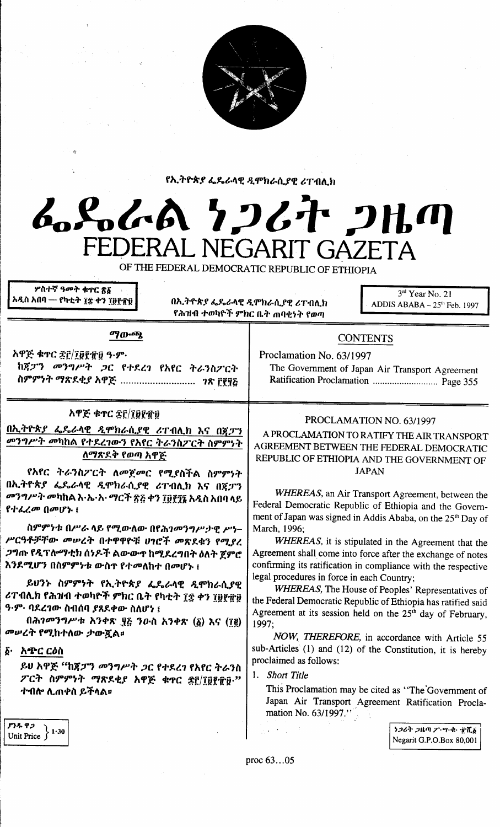

የኢትዮጵያ ፌዴራላዊ ዲሞክራሲያዊ ሪፐብሊክ

# んぺんへん クンムヤ フルの FEDERAL NEGARIT GAZETA

OF THE FEDERAL DEMOCRATIC REPUBLIC OF ETHIOPIA

ሦስተኛ ዓ**መት ቁ**ኖር <u>ጽ</u>፩ አዲስ አበባ — የካቲት ፻፰ ቀን ፲፱፻፹፱

በኢትዮጵያ ፌዴራላዊ ዲሞክራሲያዊ ሪፐብሊክ የሕዝብ ተወካዮች ምክር ቤት ጠባቂነት የወጣ

 $3<sup>rd</sup>$  Year No. 21 ADDIS ABABA - 25th Feb. 1997

### ማውጫ

አዋጅ ቁጥር ጅ፫/፲፱፻፹፱ ዓ.ም. ከጀፓን መንግሥት ጋር የተደረገ የአየር ትራንስፖርት ስምምነት ማጽደቂያ አዋጅ ................................. ገጽ ፫፻፶፩

# **አዋጅ ቁ**ተር ፰፫/፲፱፻፹፱

<u>በኢትዮጵያ ፌዴራላዊ ዲሞክራሲያዊ ሪፐብሊክ እና በጀፓን</u> *መንግሥት መ*ካከል የተደረገውን የአየር ትራንስፖርት ስምምነት ለማጽደቅ የወጣ አዋጅ

የአየር ትራንስፖርት ለመጀመር የሚያስችል ስምምነት በኢትዮጵያ ፌዴራላዊ ዲሞክራሲያዊ ሪፐብሊክ እና በጀፓን *መንግሥት መ*ካከል እ·ኤ·አ·*ማርች ፳*፭ ቀን ፲፱፻፺፯ አዲስ አበባ ላይ የተፈረመ በመሆኑ ፤

ስምምነቱ በሥራ ላይ የሚውለው በየሕገመንግሥታዊ ሥነ-ሥርዓቶቻቸው መሥረት በተዋዋዮቹ ሀገሮች መጽደቁን የሚያረ *ጋግ*ጡ የዲፕሎማቲክ ሰነዶች ልውውጥ ከሚደረግበት ዕለት ጀምሮ .<br>እንደሚሆን በስምምነቱ ውስዋ የተመለከተ በመሆኑ ፤

ይሀንኑ ስምምነት የኢትዮጵያ ፌዴራላዊ ዲሞክራሲያዊ ሪፐብሊክ የሕዝብ ተወካዮች ምክር ቤት የካቲት ፲፰ ቀን ፲፱፻፹፱ ዓ·ም· ባደረገው ስብሰባ ያጸደቀው ስለሆነ ፤

በሕገመንግሥቱ አንቀጽ ፶፭ ንዑስ አንቀጽ (፩) እና (፲፪) መሠረት የሚከተለው ታውጇል።

፩· አጭር ርዕስ

ይህ አዋጅ "ከጀፓን መንግሥት ጋር የተደረገ የአየር ትራንስ ፖርት ስምምነት ማጽደቂያ አዋጅ ቁጥር ፳፫/፲፱፻፹፱ " ተብሎ ሊጠቀስ ይችላል፡፡

Ratification Proclamation ................................ Page 355

The Government of Japan Air Transport Agreement

**CONTENTS** 

Proclamation No. 63/1997

# PROCLAMATION NO. 63/1997

A PROCLAMATION TO RATIFY THE AIR TRANSPORT AGREEMENT BETWEEN THE FEDERAL DEMOCRATIC REPUBLIC OF ETHIOPIA AND THE GOVERNMENT OF **JAPAN** 

WHEREAS, an Air Transport Agreement, between the Federal Democratic Republic of Ethiopia and the Government of Japan was signed in Addis Ababa, on the 25<sup>th</sup> Day of March, 1996;

WHEREAS, it is stipulated in the Agreement that the Agreement shall come into force after the exchange of notes confirming its ratification in compliance with the respective legal procedures in force in each Country;

WHEREAS, The House of Peoples' Representatives of the Federal Democratic Republic of Ethiopia has ratified said Agreement at its session held on the 25<sup>th</sup> day of February, 1997:

NOW, THEREFORE, in accordance with Article 55 sub-Articles (1) and (12) of the Constitution, it is hereby proclaimed as follows:

## 1. Short Title

This Proclamation may be cited as "The Government of Japan Air Transport Agreement Ratification Proclamation No.  $63/1997$ ."

> うつるか つはの ク・ツ・セ・ 定置る Negarit G.P.O.Box 80,001

ያንዱ ዋጋ  $1.30$ Unit Price

proc 63...05